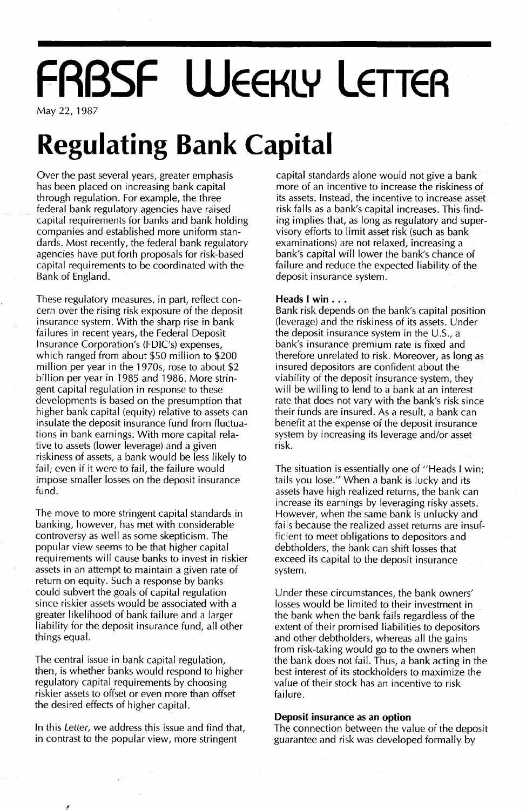# **FRBSF WEEKLY LETTER**

May 22,1987

## **Regulating Bank Capital**

Over the past several years, greater emphasis has been placed on increasing bank capital through regulation. For example, the three federal bank regulatory agencies have raised capital requirements for banks and bank holding companies and established more uniform standards. Most recently, the federal bank regulatory agencies have put forth proposals for risk-based capital requirements to be coordinated with the Bank of England.

These regulatory measures, in part, reflect concern over the rising risk exposure of the deposit insurance system. With the sharp rise in bank failures in recent years, the Federal Deposit Insurance Corporation's (FDIC's) expenses, which ranged from about \$50 million to \$200 million per year in the 1970s, rose to about \$2 billion per year in 1985 and 1986. More stringent capital regulation in response to these developments is based on the presumption that higher bank capital (equity) relative to assets can insulate the deposit insurance fund from fluctuations in bank earnings. With more capital relative to assets (lower leverage) and a given riskiness of assets, a bank would be less likely to fail; even if it were to fail, the failure would impose smaller losses on the deposit insurance fund.

The move to more stringent capital standards in banking, however, has met with considerable controversy as well as some skepticism. The popular view seems to be that higher capital requirements will cause banks to invest in riskier assets in an attempt to maintain a given rate of return on equity. Such a response by banks could subvert the goals of capital regulation since riskier assets would be associated with a greater likelihood of bank failure and a larger liability for the deposit insurance fund, all other things equal.

The central issue in bank capital regulation, then, is whether banks would respond to higher regulatory capital requirements by choosing riskier assets to offset or even more than offset the desired effects of higher capital.

In this Letter, we address this issue and find that, in contrast to the popular view, more stringent

capital standards alone would not give a bank more of an incentive to increase the riskiness of its assets. Instead, the incentive to increase asset risk falls as a bank's capital increases. This finding implies that, as long as regulatory and supervisory efforts to limit asset risk (such as bank examinations) are not relaxed, increasing a bank's capital will lower the bank's chance of failure and reduce the expected liability of the deposit insurance system.

#### **Heads <sup>I</sup> win ...**

Bank risk depends on the bank's capital position (leverage) and the riskiness of its assets. Under the deposit insurance system in the U.s., a bank's insurance premium rate is fixed and therefore unrelated to risk. Moreover, as long as insured depositors are confident about the viability of the deposit insurance system, they will be willing to lend to a bank at an interest rate that does not vary with the bank's risk since their funds are insured. As a result, a bank can benefit at the expense of the deposit insurance system by increasing its leverage and/or asset risk.

The situation is essentially one of "Heads I win; tails you lose." When a bank is lucky and its assets have high realized returns, the bank can increase its earnings by leveraging risky assets. However, when the same bank is unlucky and fails because the realized asset returns are insufficient to meet obligations to depositors and debtholders, the bank can shift losses that exceed its capital to the deposit insurance system.

Under these circumstances, the bank owners' losses would be limited to their investment in the bank when the bank fails regardless of the extent of their promised liabilities to depositors and other debtholders, whereas all the gains from risk-taking would go to the owners when the bank does not fail. Thus, a bank acting in the best interest of its stockholders to maximize the value of their stock has an incentive to risk failure.

#### **Deposit insurance as an option**

The connection between the value of the deposit guarantee and risk was developed formally by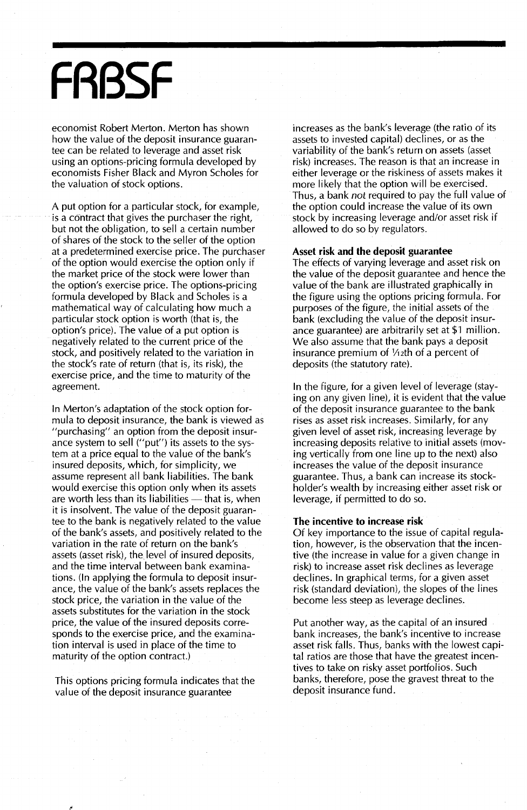## **FRBSF**

economist Robert Merton. Merton has shown how the value of the deposit insurance guarantee can be related to leverage and asset risk using an options-pricing formula developed by economists Fisher Black and Myron Scholes for the valuation of stock options.

A put option for a particular stock, for example, is a contract that gives the purchaser the right, but not the obligation, to sell a certain number of shares of the stock to the seller of the option at a predetermined exercise price. The purchaser of the option would exercise the option only if the market price of the stock were lower than the option's exercise price. The options-pricing formula developed by Black and Scholes is a mathematical way of calculating how much a particular stock option is worth (that is, the option's price). The value of a put option is negatively related to the current price of the stock, and positively related to the variation in the stock's rate of return (that is, its risk), the exercise price, and the time to maturity of the agreement.

In Merton's adaptation of the stock option formula to deposit insurance, the bank is viewed as "purchasing" an option from the deposit insurance system to sell ("put") its assets to the system at a price equal to the value of the bank's insured deposits, which, for simplicity, we assume represent all bank liabilities. The bank would exercise this option only when its assets are worth less than its liabilities  $-$  that is, when it is insolvent. The value of the deposit guarantee to the bank is negatively related to the value of the bank's assets, and positively related to the variation in the rate of return on the bank's assets (asset risk), the level of insured deposits, and the time interval between bank examinations. (In applying the formula to deposit insurance, the value of the bank's assets replaces the stock price, the variation in the value of the assets substitutes for the variation in the stock price, the value of the insured deposits corresponds to the exercise price, and the examination interval is used in place of the time to maturity of the option contract.)

This options pricing formula indicates that the value of the deposit insurance guarantee

increases as the bank's leverage (the ratio of its assets to invested capital) declines, or as the variability of the bank's return on assets (asset risk) increases. The reason is that an increase in either leverage or the riskiness of assets makes it more likely that the option will be exercised. Thus, a bank *not* required to pay the full value of the option could increase the value of its own stock by increasing leverage and/or asset risk if allowed to do so by regulators.

#### Asset risk and the deposit guarantee

The effects of varying leverage and asset risk on the value of the deposit guarantee and hence the value of the bank are illustrated graphically in the figure using the options pricing formula. For purposes of the figure, the initial assets of the bank (excluding the value of the deposit insurance guarantee) are arbitrarily set at \$1 million. We also assume that the bank pays a deposit insurance premium of  $1/12$ th of a percent of deposits (the statutory rate).

In the figure, for a given level of leverage (staying on any given line), it is evident that the value of the deposit insurance guarantee to the bank rises as asset risk increases. Similarly, for any given level of asset risk, increasing leverage by increasing deposits relative to initial assets (moving vertically from one line up to the next) also increases the value of the deposit insurance guarantee. Thus, a bank can increase its stockholder's wealth by increasing either asset risk or leverage, if permitted to do so.

#### The incentive to increase risk

Of key importance to the issue of capital regulation, however, is the observation that the incentive (the increase in value for a given change in risk) to increase asset risk declines as leverage declines. In graphical terms, for a given asset risk (standard deviation), the slopes of the lines become less steep as leverage declines.

Put another way, as the capital of an insured bank increases, the bank's incentive to increase asset risk falls. Thus, banks with the lowest capital ratios are those that have the greatest incentives to take on risky asset portfolios. Such banks, therefore, pose the gravest threat to the deposit insurance fund.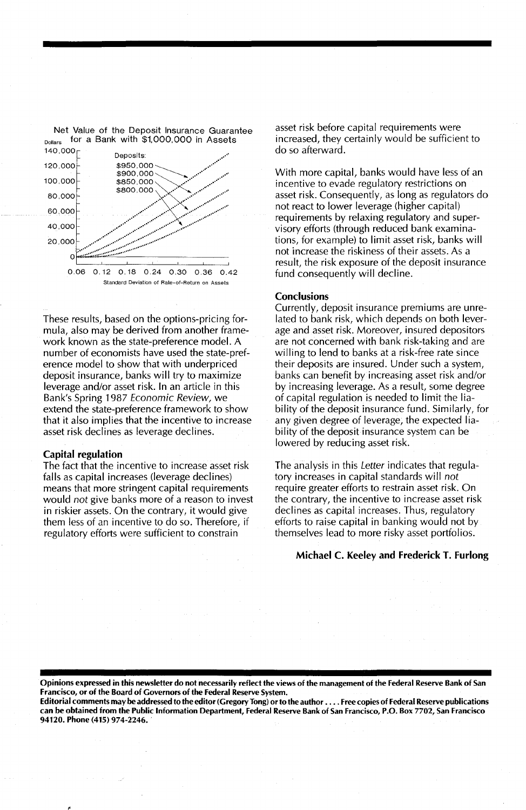

These results, based on the options-pricing formula, also may be derived from another framework known as the state-preference model. A number of economists have used the state-preference model to show that with underpriced deposit insurance, banks will try to maximize leverage and/or asset risk. In an article in this Bank's Spring 1987 Economic Review, we extend the state-preference framework to show that it also implies that the incentive to increase asset risk declines as leverage declines.

### Capital regulation

The fact that the incentive to increase asset risk falls as capital increases (leverage declines) means that more stringent capital requirements would not give banks more of a reason to invest in riskier assets. On the contrary, it would give them less of an incentive to do so. Therefore, if regulatory efforts were sufficient to constrain

asset risk before capital requirements were increased, they certainly would be sufficient to

With more capital, banks would have less of an incentive to evade regulatory restrictions on asset risk. Consequently, as long as regulators do not react to lower leverage (higher capital) requirements by relaxing regulatory and supervisory efforts (through reduced bank examinations, for example) to limit asset risk, banks will not increase the riskiness of their assets. As a result, the risk exposure of the deposit insurance fund consequently will decline.

#### **Conclusions**

Currently, deposit insurance premiums are unrelated to bank risk, which depends on both leverage and asset risk. Moreover, insured depositors are not concerned with bank risk-taking and are willing to lend to banks at a risk-free rate since their deposits are insured. Under such a system, banks can benefit by increasing asset risk and/or by increasing leverage. As a result, some degree of capital regulation is needed to limit the liability of the deposit insurance fund. Similarly, for any given degree of leverage, the expected liability of the deposit insurance system can be lowered by reducing asset risk.

The analysis in this Letter indicates that regulatory increases in capital standards will not require greater efforts to restrain asset risk. On the contrary, the incentive to increase asset risk declines as capital increases. Thus, regulatory efforts to raise capital in banking would not by themselves lead to more risky asset portfolios.

#### Michael C. Keeley and Frederick T. Furlong

Opinions expressed in this newsletter do not necessarily reflect the views of the management of the Federal Reserve Bank of San Francisco, or of the Board of Governors of the Federal Reserve System.

Editorial comments may be addressed to the editor (Gregory Tong) or to the author . . . . Free copies of Federal Reserve publications can be obtained from the Public Information Department, Federal Reserve Bank of San Francisco, P.O. Box 7702, San Francisco 94120. Phone (415) 974-2246..